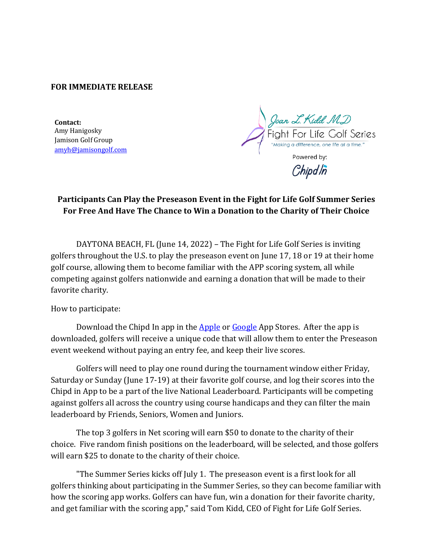## **FOR IMMEDIATE RELEASE**

**Contact:** Amy Hanigosky Jamison Golf Group amyh@jamisongolf.com

Joan L. Kidd MD Fight For Life Golf Series Powered by:

Chipdln

# Participants Can Play the Preseason Event in the Fight for Life Golf Summer Series For Free And Have The Chance to Win a Donation to the Charity of Their Choice

DAYTONA BEACH, FL (June 14, 2022) – The Fight for Life Golf Series is inviting golfers throughout the U.S. to play the preseason event on June 17, 18 or 19 at their home golf course, allowing them to become familiar with the APP scoring system, all while competing against golfers nationwide and earning a donation that will be made to their favorite charity.

How to participate:

Download the Chipd In app in the Apple or Google App Stores. After the app is downloaded, golfers will receive a unique code that will allow them to enter the Preseason event weekend without paying an entry fee, and keep their live scores.

Golfers will need to play one round during the tournament window either Friday, Saturday or Sunday (June 17-19) at their favorite golf course, and log their scores into the Chipd in App to be a part of the live National Leaderboard. Participants will be competing against golfers all across the country using course handicaps and they can filter the main leaderboard by Friends, Seniors, Women and Juniors.

The top 3 golfers in Net scoring will earn \$50 to donate to the charity of their choice. Five random finish positions on the leaderboard, will be selected, and those golfers will earn \$25 to donate to the charity of their choice.

"The Summer Series kicks off July 1. The preseason event is a first look for all golfers thinking about participating in the Summer Series, so they can become familiar with how the scoring app works. Golfers can have fun, win a donation for their favorite charity, and get familiar with the scoring app," said Tom Kidd, CEO of Fight for Life Golf Series.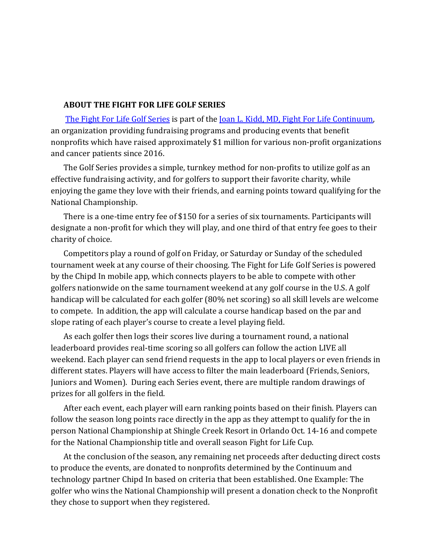#### **ABOUT THE FIGHT FOR LIFE GOLF SERIES**

The Fight For Life Golf Series is part of the <u>Joan L. Kidd, MD, Fight For Life Continuum</u>, an organization providing fundraising programs and producing events that benefit nonprofits which have raised approximately \$1 million for various non-profit organizations and cancer patients since 2016.

The Golf Series provides a simple, turnkey method for non-profits to utilize golf as an effective fundraising activity, and for golfers to support their favorite charity, while enjoying the game they love with their friends, and earning points toward qualifying for the National Championship.

There is a one-time entry fee of \$150 for a series of six tournaments. Participants will designate a non-profit for which they will play, and one third of that entry fee goes to their charity of choice.

Competitors play a round of golf on Friday, or Saturday or Sunday of the scheduled tournament week at any course of their choosing. The Fight for Life Golf Series is powered by the Chipd In mobile app, which connects players to be able to compete with other golfers nationwide on the same tournament weekend at any golf course in the U.S. A golf handicap will be calculated for each golfer (80% net scoring) so all skill levels are welcome to compete. In addition, the app will calculate a course handicap based on the par and slope rating of each player's course to create a level playing field.

As each golfer then logs their scores live during a tournament round, a national leaderboard provides real-time scoring so all golfers can follow the action LIVE all weekend. Each player can send friend requests in the app to local players or even friends in different states. Players will have access to filter the main leaderboard (Friends, Seniors, Juniors and Women). During each Series event, there are multiple random drawings of prizes for all golfers in the field.

After each event, each player will earn ranking points based on their finish. Players can follow the season long points race directly in the app as they attempt to qualify for the in person National Championship at Shingle Creek Resort in Orlando Oct. 14-16 and compete for the National Championship title and overall season Fight for Life Cup.

At the conclusion of the season, any remaining net proceeds after deducting direct costs to produce the events, are donated to nonprofits determined by the Continuum and technology partner Chipd In based on criteria that been established. One Example: The golfer who wins the National Championship will present a donation check to the Nonprofit they chose to support when they registered.